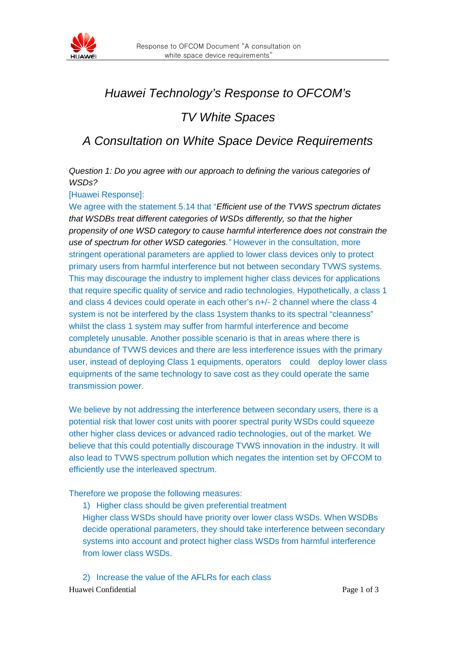

## *Huawei Technology's Response to OFCOM's*

## *TV White Spaces*

## *A Consultation on White Space Device Requirements*

*Question 1: Do you agree with our approach to defining the various categories of WSDs?*

[Huawei Response]:

We agree with the statement 5.14 that "*Efficient use of the TVWS spectrum dictates that WSDBs treat different categories of WSDs differently, so that the higher propensity of one WSD category to cause harmful interference does not constrain the use of spectrum for other WSD categories."* However in the consultation, more stringent operational parameters are applied to lower class devices only to protect primary users from harmful interference but not between secondary TVWS systems. This may discourage the industry to implement higher class devices for applications that require specific quality of service and radio technologies. Hypothetically, a class 1 and class 4 devices could operate in each other's n+/- 2 channel where the class 4 system is not be interfered by the class 1system thanks to its spectral "cleanness" whilst the class 1 system may suffer from harmful interference and become completely unusable. Another possible scenario is that in areas where there is abundance of TVWS devices and there are less interference issues with the primary user, instead of deploying Class 1 equipments, operators could deploy lower class equipments of the same technology to save cost as they could operate the same transmission power.

We believe by not addressing the interference between secondary users, there is a potential risk that lower cost units with poorer spectral purity WSDs could squeeze other higher class devices or advanced radio technologies, out of the market. We believe that this could potentially discourage TVWS innovation in the industry. It will also lead to TVWS spectrum pollution which negates the intention set by OFCOM to efficiently use the interleaved spectrum.

Therefore we propose the following measures:

1) Higher class should be given preferential treatment Higher class WSDs should have priority over lower class WSDs. When WSDBs decide operational parameters, they should take interference between secondary systems into account and protect higher class WSDs from harmful interference from lower class WSDs.

Huawei Confidential Page 1 of 3 2) Increase the value of the AFLRs for each class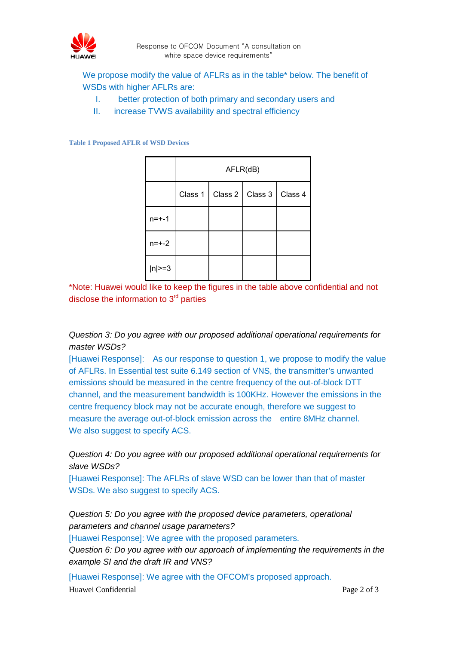

We propose modify the value of AFLRs as in the table\* below. The benefit of WSDs with higher AFLRs are:

- I. better protection of both primary and secondary users and
- II. increase TVWS availability and spectral efficiency

## **Table 1 Proposed AFLR of WSD Devices**

|            | AFLR(dB) |  |                             |  |
|------------|----------|--|-----------------------------|--|
|            | Class 1  |  | Class 2   Class 3   Class 4 |  |
| $n = + -1$ |          |  |                             |  |
| $n = + -2$ |          |  |                             |  |
| $ n >=3$   |          |  |                             |  |

\*Note: Huawei would like to keep the figures in the table above confidential and not disclose the information to  $3<sup>rd</sup>$  parties

*Question 3: Do you agree with our proposed additional operational requirements for master WSDs?*

[Huawei Response]: As our response to question 1, we propose to modify the value of AFLRs. In Essential test suite 6.149 section of VNS, the transmitter's unwanted emissions should be measured in the centre frequency of the out-of-block DTT channel, and the measurement bandwidth is 100KHz. However the emissions in the centre frequency block may not be accurate enough, therefore we suggest to measure the average out-of-block emission across the entire 8MHz channel. We also suggest to specify ACS.

*Question 4: Do you agree with our proposed additional operational requirements for slave WSDs?*

[Huawei Response]: The AFLRs of slave WSD can be lower than that of master WSDs. We also suggest to specify ACS.

*Question 5: Do you agree with the proposed device parameters, operational parameters and channel usage parameters?*

[Huawei Response]: We agree with the proposed parameters.

*Question 6: Do you agree with our approach of implementing the requirements in the example SI and the draft IR and VNS?*

Huawei Confidential Page 2 of 3 [Huawei Response]: We agree with the OFCOM's proposed approach.